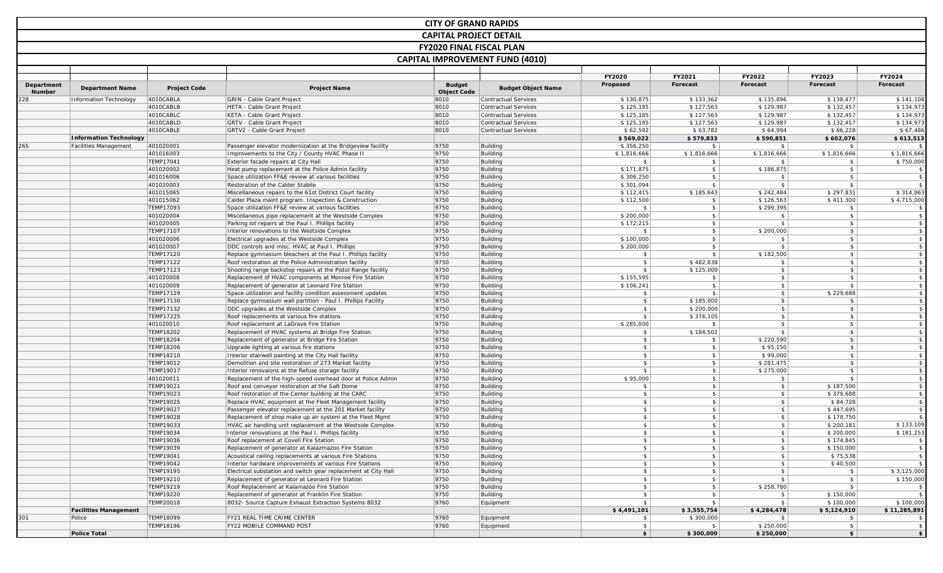|            |                               |                        |                                                                                                                    | <b>CITY OF GRAND RAPIDS</b>     |                                                            |                        |                             |                                |                             |                          |
|------------|-------------------------------|------------------------|--------------------------------------------------------------------------------------------------------------------|---------------------------------|------------------------------------------------------------|------------------------|-----------------------------|--------------------------------|-----------------------------|--------------------------|
|            |                               |                        |                                                                                                                    | <b>CAPITAL PROJECT DETAIL</b>   |                                                            |                        |                             |                                |                             |                          |
|            |                               |                        |                                                                                                                    | <b>FY2020 FINAL FISCAL PLAN</b> |                                                            |                        |                             |                                |                             |                          |
|            |                               |                        |                                                                                                                    |                                 |                                                            |                        |                             |                                |                             |                          |
|            |                               |                        |                                                                                                                    |                                 | <b>CAPITAL IMPROVEMENT FUND (4010)</b>                     |                        |                             |                                |                             |                          |
|            |                               |                        |                                                                                                                    |                                 |                                                            | FY2020                 | FY2021                      | FY2022                         | FY2023                      | FY2024                   |
| Department | <b>Department Name</b>        | <b>Project Code</b>    | <b>Project Name</b>                                                                                                | <b>Budget</b>                   | <b>Budget Object Name</b>                                  | Proposed               | Forecast                    | Forecast                       | Forecast                    | Forecast                 |
| Number     |                               |                        |                                                                                                                    | <b>Object Code</b>              |                                                            |                        |                             |                                |                             |                          |
| 28         | Information Technology        | 4010CABLA<br>4010CABLB | GRIN - Cable Grant Project<br>HETA - Cable Grant Project                                                           | 8010<br>8010                    | <b>Contractual Services</b><br><b>Contractual Services</b> | \$130,875<br>\$125,185 | \$133,362<br>\$127,563      | \$135,896<br>\$129,987         | \$138,477<br>\$132,457      | \$141,108<br>\$134,973   |
|            |                               | 4010CABLC              | KETA - Cable Grant Project                                                                                         | 8010                            | <b>Contractual Services</b>                                | \$125,185              | \$127,563                   | \$129,987                      | \$132,457                   | \$134,973                |
|            |                               | 4010CABLD              | <b>GRTV - Cable Grant Project</b>                                                                                  | 8010                            | <b>Contractual Services</b>                                | \$125,185              | \$127,563                   | \$129,987                      | \$132,457                   | \$134,973                |
|            |                               | 4010CABLE              | GRTV2 - Cable Grant Project                                                                                        | 8010                            | Contractual Services                                       | \$62,592               | \$63,782                    | \$64,994                       | \$66,228                    | \$67,486                 |
|            | <b>Information Technology</b> |                        |                                                                                                                    |                                 |                                                            | \$569,022              | \$579,833                   | \$590,851                      | \$602,076                   | \$613,513                |
| 265        | <b>Facilities Management</b>  | 401020001              | Passenger elevator modernization at the Bridgeview facility                                                        | 9750                            | Building                                                   | \$356,250              | $\sqrt{5}$                  | \$                             | - \$                        | - \$                     |
|            |                               | 401016003              | Improvements to the City / County HVAC Phase II                                                                    | 9750                            | Building                                                   | \$1,816,666            | \$1,816,666                 | \$1,816,666                    | \$1,816,666                 | \$1,816,666              |
|            |                               | <b>TEMP17041</b>       | Exterior facade repairs at City Hall                                                                               | 9750                            | <b>Building</b>                                            | \$                     | -\$                         | - \$                           | -\$                         | \$750,000                |
|            |                               | 401020002              | Heat pump replacement at the Police Admin facility                                                                 | 9750                            | <b>Building</b>                                            | \$171,875              | $\frac{1}{2}$               | \$186,875                      | \$                          | $\sqrt{5}$               |
|            |                               | 401016006              | Space utilization FF&E review at various facilities                                                                | 9750                            | Building                                                   | \$306,250              | $\frac{1}{2}$               | $$^{\circ}$                    | \$                          | $\sqrt{5}$               |
|            |                               | 401020003              | Restoration of the Calder Stabile                                                                                  | 9750<br>9750                    | <b>Building</b>                                            | \$301,094<br>\$112,415 | $\sqrt{5}$<br>\$185,643     | \$                             | $\mathfrak{s}$<br>\$297,831 | \$<br>\$314,863          |
|            |                               | 401015065<br>401015062 | Miscellaneous repairs to the 61st District Court facility<br>Calder Plaza maint program. Inspection & Construction | 9750                            | <b>Building</b><br><b>Building</b>                         | \$112,500              | $\mathcal{L}$               | \$242,484<br>\$126,563         | \$411,300                   | \$4,715,000              |
|            |                               | TEMP17093              | Space utilization FF&E review at various facilities                                                                | 9750                            | <b>Building</b>                                            | \$                     | $\sqrt{5}$                  | \$299,395                      | \$                          | \$                       |
|            |                               | 401020004              | Miscellaneous pipe replacement at the Westside Complex                                                             | 9750                            | <b>Building</b>                                            | \$200,000              | $\frac{1}{2}$               | \$                             | $\sqrt{2}$                  | $\sqrt{5}$               |
|            |                               | 401020005              | Parking lot repairs at the Paul I. Phillips facility                                                               | 9750                            | <b>Building</b>                                            | \$172,215              | $\frac{1}{2}$               | $\mathbf{s}$                   | \$                          | $\sqrt{5}$               |
|            |                               | TEMP17107              | Interior renovations to the Westside Complex                                                                       | 9750                            | <b>Building</b>                                            | $\mathsf{s}$           | $\frac{1}{2}$               | \$200,000                      | \$                          | $\sqrt{5}$               |
|            |                               | 401020006              | Electrical upgrades at the Westside Complex                                                                        | 9750                            | <b>Building</b>                                            | \$100,000              | $\frac{1}{2}$               | $$^{\circ}$                    | $$^{\circ}$                 | $\sqrt{5}$               |
|            |                               | 401020007              | DDC controls and misc. HVAC at Paul I. Phillips                                                                    | 9750                            | <b>Building</b>                                            | \$200,000              | $\frac{1}{2}$               | \$                             | \$                          | $\sqrt{5}$               |
|            |                               | TEMP17120              | Replace gymnasium bleachers at the Paul I. Phillips facility                                                       | 9750                            | <b>Building</b>                                            | \$                     | $\sqrt{5}$                  | \$182,500                      | \$                          | $\sqrt{5}$               |
|            |                               | TEMP17122              | Roof restoration at the Police Administration facility                                                             | 9750                            | <b>Building</b>                                            | s                      | \$482,838                   | \$                             | \$                          | $\sqrt{5}$               |
|            |                               | TEMP17123              | Shooting range backstop repairs at the Pistol Range facility                                                       | 9750                            | <b>Building</b>                                            | \$                     | \$125,000                   | $\frac{1}{2}$                  | \$                          | $\sqrt{5}$               |
|            |                               | 401020008              | Replacement of HVAC components at Monroe Fire Station                                                              | 9750                            | Building                                                   | \$155,595              | $\sqrt{5}$                  | $\frac{1}{2}$                  | $\mathfrak{S}$              | $\sqrt{5}$               |
|            |                               | 401020009<br>TEMP17129 | Replacement of generator at Leonard Fire Station<br>Space utilization and facility condition assessment updates    | 9750<br>9750                    | Building<br><b>Building</b>                                | \$106,241<br>\$        | \$<br>$\mathfrak{S}$        | $\frac{1}{2}$<br>$\frac{1}{2}$ | -\$<br>\$229,688            | $\sqrt{2}$<br>$\sqrt{5}$ |
|            |                               | TEMP17130              | Replace gymnasium wall partition - Paul I. Phillips Facility                                                       | 9750                            | Building                                                   | $\mathsf{s}$           | \$185,000                   | $\frac{1}{2}$                  | $\ddot{\mathbf{r}}$         | $\sqrt{2}$               |
|            |                               | TEMP17132              | DDC upgrades at the Westside Complex                                                                               | 9750                            | Building                                                   | \$                     | \$200,000                   | $\frac{1}{2}$                  | $\mathbf{\hat{s}}$          | $\sqrt{2}$               |
|            |                               | TEMP17225              | Roof replacements at various fire stations                                                                         | 9750                            | <b>Building</b>                                            | \$                     | \$376,105                   | $\frac{1}{2}$                  | \$                          | $\sqrt{5}$               |
|            |                               | 401020010              | Roof replacement at LaGrave Fire Station                                                                           | 9750                            | <b>Building</b>                                            | \$285,000              | \$                          | \$                             | \$                          | $\sqrt{5}$               |
|            |                               | <b>TEMP18202</b>       | Replacement of HVAC systems at Bridge Fire Station                                                                 | 9750                            | <b>Building</b>                                            | S                      | \$184,502                   | \$                             | \$                          | $\sqrt{5}$               |
|            |                               | <b>TEMP18204</b>       | Replacement of generator at Bridge Fire Station                                                                    | 9750                            | Building                                                   | $\sqrt{2}$             | $\frac{2}{3}$               | \$220,590                      | $\frac{1}{2}$               | $\sqrt{5}$               |
|            |                               | <b>TEMP18206</b>       | Upgrade lighting at various fire stations                                                                          | 9750                            | <b>Building</b>                                            | \$                     | $\frac{1}{2}$               | \$95,150                       | \$                          | $\sqrt{5}$               |
|            |                               | TEMP18210              | Interior stairwell painting at the City Hall facility                                                              | 9750                            | <b>Building</b>                                            | s                      | $\mathfrak{S}$              | \$99,000                       | $\mathfrak{L}$              | $\sqrt{5}$               |
|            |                               | TEMP19012              | Demolition and site restoration of 273 Market facility                                                             | 9750                            | Building                                                   | S                      | $\frac{1}{2}$               | \$281,475                      | $$^{\circ}$                 | $\sqrt{5}$               |
|            |                               | TEMP19017              | Interior renovaions at the Refuse storage facility                                                                 | 9750                            | <b>Building</b>                                            | $\mathsf{s}$           | $\frac{1}{2}$               | \$275,000                      | $\mathbf{s}$                | $\sqrt{5}$               |
|            |                               | 401020011              | Replacement of the high-speed overhead door at Police Admin                                                        | 9750<br>9750                    | <b>Building</b>                                            | \$95,000<br>\$         | $\frac{2}{3}$<br>\$         | \$<br>\$                       | - \$                        | $\sqrt{5}$<br>$\sqrt{5}$ |
|            |                               | TEMP19021<br>TEMP19023 | Roof and conveyor restoration at the Salt Dome<br>Roof restoration of the Center building at the CARC              | 9750                            | <b>Building</b><br><b>Building</b>                         | $\frac{1}{2}$          | $\frac{1}{2}$               | $\frac{1}{2}$                  | \$187,500<br>\$379,688      | $\sqrt{5}$               |
|            |                               | TEMP19025              | Replace HVAC equipment at the Fleet Management facility                                                            | 9750                            | Building                                                   | \$                     | \$                          | $\mathsf{s}$                   | \$84,728                    | $\sqrt{2}$               |
|            |                               | TEMP19027              | Passenger elevator replacement at the 201 Market facility                                                          | 9750                            | <b>Building</b>                                            | $\frac{1}{2}$          | $\frac{1}{2}$               | $\frac{1}{2}$                  | \$447,695                   | \$                       |
|            |                               | TEMP19028              | Replacement of shop make up air system at the Fleet Mgmt                                                           | 9750                            | Building                                                   | $\mathsf{s}$           | \$                          | \$                             | \$178,750                   | \$                       |
|            |                               | TEMP19033              | HVAC air handling unit replacement at the Westside Complex                                                         | 9750                            | Building                                                   | s                      | \$                          | $\mathsf{s}$                   | \$200,181                   | \$133,109                |
|            |                               | <b>TEMP19034</b>       | Interior renovations at the Paul I. Phillips facility                                                              | 9750                            | Building                                                   | S                      | $\mathsf{s}$                | $\mathsf{s}$                   | \$200,000                   | \$181,253                |
|            |                               | TEMP19036              | Roof replacement at Covell Fire Station                                                                            | 9750                            | Building                                                   | s                      | $\sqrt{5}$                  | $\frac{1}{2}$                  | \$174,845                   | $\sqrt{5}$               |
|            |                               | TEMP19039              | Replacement of generator at Kalazmazoo Fire Station                                                                | 9750                            | Building                                                   | $\frac{1}{2}$          | $\vert$ \$                  | $\frac{1}{2}$                  | \$150,000                   | $\sqrt{2}$               |
|            |                               | TEMP19041              | Acoustical ceiling replacements at various Fire Stations                                                           | 9750                            | <b>Building</b>                                            | s                      | $\frac{1}{2}$               | $\frac{1}{2}$                  | \$75,538                    | $\sqrt{5}$               |
|            |                               | TEMP19042              | Interior hardware improvements at various Fire Stations                                                            | 9750                            | <b>Building</b>                                            | $\frac{1}{2}$          | $\frac{1}{2}$               | $\frac{1}{2}$                  | \$40,500                    | $\mathsf{s}$             |
|            |                               | TEMP19195              | Electrical substation and switch gear replacement at City Hall                                                     | 9750                            | Building                                                   | s                      | $\frac{1}{2}$               | $\frac{1}{2}$                  | $\frac{1}{2}$               | \$3,125,000              |
|            |                               | TEMP19210<br>TEMP19219 | Replacement of generator at Leonard Fire Station<br>Roof Replacement at Kalamazoo Fire Station                     | 9750<br>9750                    | Building<br>Building                                       | s<br>$\frac{1}{2}$     | $\sqrt{5}$<br>$\frac{1}{2}$ | $\vert$<br>\$258,780           | $\sqrt{5}$<br>\$            | \$150,000<br>$\sqrt{5}$  |
|            |                               | TEMP19220              | Replacement of generator at Franklin Fire Station                                                                  | 9750                            | Building                                                   | $\frac{1}{2}$          | $\frac{1}{2}$               | $\frac{1}{2}$                  | \$150,000                   | $\mathsf{s}$             |
|            |                               | TEMP20018              | 8032- Source Capture Exhaust Extraction Systems 8032                                                               | 9760                            | Equipment                                                  | $\frac{1}{2}$          | $\frac{1}{2}$               | $\frac{1}{2}$                  | \$100,000                   | \$100,000                |
|            | <b>Facilities Management</b>  |                        |                                                                                                                    |                                 |                                                            | \$4,491,101            | \$3,555,754                 | \$4,284,478                    | \$5,124,910                 | \$11,285,891             |
| 301        | Police                        | TEMP18099              | FY21 REAL TIME CRIME CENTER                                                                                        | 9760                            | Equipment                                                  | $\frac{1}{2}$          | \$300,000                   |                                |                             | \$                       |
|            |                               | TEMP18196              | FY22 MOBILE COMMAND POST                                                                                           | 9760                            | Equipment                                                  | $\frac{1}{2}$          | $\sqrt{5}$                  | \$250,000                      | $\frac{1}{2}$               | $\sqrt{5}$               |
|            | <b>Police Total</b>           |                        |                                                                                                                    |                                 |                                                            | s                      | \$300,000                   | \$250,000                      | s                           | \$                       |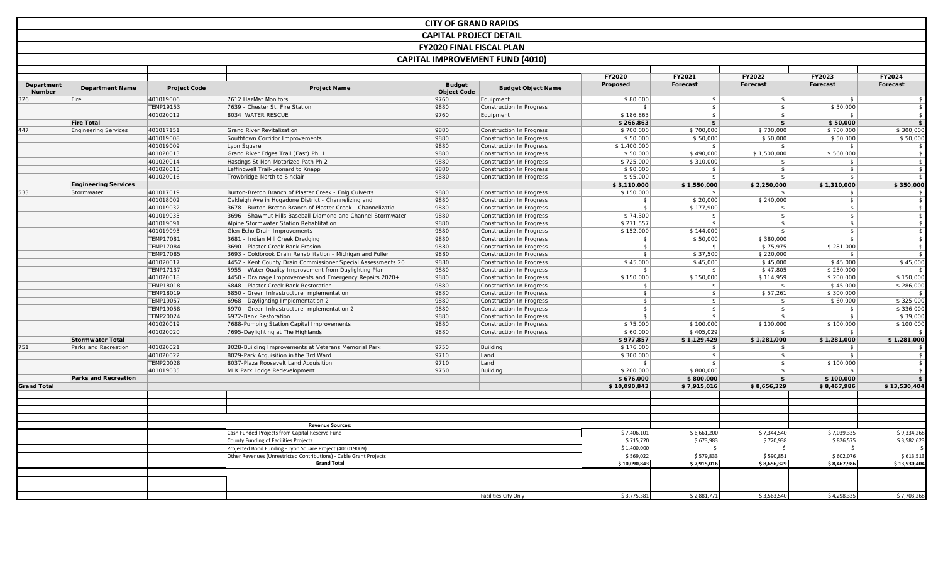|                             |                             |                               |                                                                                | <b>CITY OF GRAND RAPIDS</b>         |                                                      |                           |                 |                             |                  |                                  |
|-----------------------------|-----------------------------|-------------------------------|--------------------------------------------------------------------------------|-------------------------------------|------------------------------------------------------|---------------------------|-----------------|-----------------------------|------------------|----------------------------------|
|                             |                             |                               |                                                                                | <b>CAPITAL PROJECT DETAIL</b>       |                                                      |                           |                 |                             |                  |                                  |
|                             |                             |                               |                                                                                | <b>FY2020 FINAL FISCAL PLAN</b>     |                                                      |                           |                 |                             |                  |                                  |
|                             |                             |                               |                                                                                |                                     |                                                      |                           |                 |                             |                  |                                  |
|                             |                             |                               |                                                                                |                                     | <b>CAPITAL IMPROVEMENT FUND (4010)</b>               |                           |                 |                             |                  |                                  |
|                             |                             |                               |                                                                                |                                     |                                                      | <b>FY2020</b>             | FY2021          | FY2022                      | FY2023           | <b>FY2024</b>                    |
| Department<br><b>Number</b> | <b>Department Name</b>      | <b>Project Code</b>           | <b>Project Name</b>                                                            | <b>Budget</b><br><b>Object Code</b> | <b>Budget Object Name</b>                            | Proposed                  | Forecast        | Forecast                    | Forecast         | Forecast                         |
| 326                         | Fire                        | 401019006                     | 7612 HazMat Monitors                                                           | 9760                                | Equipment                                            | \$80,000                  | $\frac{1}{2}$   | $\sqrt{5}$                  | - \$             | \$                               |
|                             |                             | TEMP19153                     | 7639 - Chester St. Fire Station                                                | 9880                                | Construction In Progress                             | $\mathsf{s}$              | \$              | \$                          | \$50,000         | \$                               |
|                             |                             | 401020012                     | 8034 WATER RESCUE                                                              | 9760                                | Equipment                                            | \$186,863                 | \$              | \$                          | $\mathbf{s}$     | \$                               |
|                             | <b>Fire Total</b>           |                               |                                                                                |                                     |                                                      | \$266,863                 | \$              | $$^{\circ}$                 | \$50,000         | \$                               |
| 447                         | <b>Engineering Services</b> | 401017151                     | Grand River Revitalization                                                     | 9880                                | Construction In Progress                             | \$700,000                 | \$700,000       | \$700,000                   | \$700,000        | \$300,000                        |
|                             |                             | 401019008                     | Southtown Corridor Improvements                                                | 9880                                | Construction In Progress                             | \$50,000                  | \$50,000        | \$50,000                    | \$50,000         | \$50,000                         |
|                             |                             | 401019009                     | Lyon Square                                                                    | 9880                                | Construction In Progress                             | \$1,400,000               | \$              | \$                          | \$               | $\mathbf{s}$                     |
|                             |                             | 401020013                     | Grand River Edges Trail (East) Ph II                                           | 9880                                | Construction In Progress                             | \$50,000                  | \$490,000       | \$1,500,000                 | \$560,000        | \$                               |
|                             |                             | 401020014<br>401020015        | Hastings St Non-Motorized Path Ph 2<br>Leffingwell Trail-Leonard to Knapp      | 9880<br>9880                        | Construction In Progress                             | \$725,000                 | \$310,000<br>\$ | \$<br>$\frac{1}{2}$         | $$^{\circ}$<br>s | \$<br>$$\mathbb{S}$$             |
|                             |                             | 401020016                     | Trowbridge-North to Sinclair                                                   | 9880                                | Construction In Progress<br>Construction In Progress | \$90,000<br>\$95,000      | $\sqrt{2}$      | \$                          | \$               | $\hat{\mathbf{x}}$               |
|                             | <b>Engineering Services</b> |                               |                                                                                |                                     |                                                      | \$3,110,000               | \$1,550,000     | \$2,250,000                 | \$1,310,000      | \$350,000                        |
| 533                         | Stormwater                  | 401017019                     | Burton-Breton Branch of Plaster Creek - Enlg Culverts                          | 9880                                | Construction In Progress                             | \$150,000                 | \$              | \$                          | \$               | \$                               |
|                             |                             | 401018002                     | Oakleigh Ave in Hogadone District - Channelizing and                           | 9880                                | Construction In Progress                             | $\sqrt{5}$                | \$20,000        | \$240,000                   | $\frac{1}{2}$    | $$\mathbb{S}$$                   |
|                             |                             | 401019032                     | 3678 - Burton-Breton Branch of Plaster Creek - Channelizatio                   | 9880                                | Construction In Progress                             | $\frac{1}{2}$             | \$177,900       | $\mathsf{s}$                | $\frac{1}{2}$    | $$\mathbb{S}$$                   |
|                             |                             | 401019033                     | 3696 - Shawmut Hills Baseball Diamond and Channel Stormwater                   | 9880                                | Construction In Progress                             | \$74,300                  | $$\mathbb{S}$$  | $\frac{1}{2}$               | $\frac{1}{2}$    | $$\mathbb{S}$$                   |
|                             |                             | 401019091                     | Alpine Stormwater Station Rehablitation                                        | 9880                                | Construction In Progress                             | \$271,557                 | \$              | $\vert$ \$                  | s                | \$                               |
|                             |                             | 401019093                     | Glen Echo Drain Improvements                                                   | 9880                                | Construction In Progress                             | \$152,000                 | \$144,000       | $\frac{1}{2}$               | $\frac{1}{2}$    | \$                               |
|                             |                             | <b>TEMP17081</b>              | 3681 - Indian Mill Creek Dredging                                              | 9880                                | Construction In Progress                             | $\sqrt{5}$                | \$50,000        | \$380,000                   | $\frac{1}{2}$    | $$\mathbb{S}$$                   |
|                             |                             | <b>TEMP17084</b>              | 3690 - Plaster Creek Bank Erosion                                              | 9880                                | Construction In Progress                             | $\frac{1}{2}$             | $$\mathbb{S}$$  | \$75,975                    | \$281,000        | $$\mathbb{S}$$                   |
|                             |                             | <b>TEMP17085</b>              | 3693 - Coldbrook Drain Rehabilitation - Michigan and Fuller                    | 9880                                | Construction In Progress                             | $\sqrt{2}$                | \$37,500        | \$220,000                   | \$               | $\mathfrak{S}$                   |
|                             |                             | 401020017                     | 4452 - Kent County Drain Commissioner Special Assessments 20                   | 9880                                | Construction In Progress                             | \$45,000                  | \$45,000        | \$45,000                    | \$45,000         | \$45,000                         |
|                             |                             | TEMP17137                     | 5955 - Water Quality Improvement from Daylighting Plan                         | 9880                                | Construction In Progress                             | $\mathsf{s}$              | \$              | \$47,805                    | \$250,000        | \$                               |
|                             |                             | 401020018                     | 4450 - Drainage Improvements and Emergency Repairs 2020+                       | 9880                                | Construction In Progress                             | \$150,000                 | \$150,000       | \$114,959                   | \$200,000        | \$150,000                        |
|                             |                             | TEMP18018                     | 6848 - Plaster Creek Bank Restoration                                          | 9880                                | Construction In Progress                             | \$                        | \$              | $\sqrt{5}$                  | \$45,000         | \$286,000                        |
|                             |                             | TEMP18019                     | 6850 - Green Infrastructure Implementation                                     | 9880                                | Construction In Progress                             | $\frac{1}{2}$             | \$              | \$57,261                    | \$300,000        | \$                               |
|                             |                             | <b>TEMP19057</b>              | 6968 - Daylighting Implementation 2                                            | 9880                                | Construction In Progress                             | $\frac{1}{2}$             | \$              | \$                          | \$60,000         | \$325,000                        |
|                             |                             | <b>TEMP19058</b>              | 6970 - Green Infrastructure Implementation 2                                   | 9880                                | Construction In Progress                             | $\frac{1}{2}$             | $$\mathbb{S}$$  | $\mathbf{\hat{s}}$          |                  | \$336,000                        |
|                             |                             | TEMP20024                     | 6972-Bank Restoration                                                          | 9880                                | Construction In Progress                             | $\frac{1}{2}$             | \$              | $\sqrt{5}$                  | - \$             | \$39,000                         |
|                             |                             | 401020019                     | 7688-Pumping Station Capital Improvements                                      | 9880                                | Construction In Progress                             | \$75,000                  | \$100,000       | \$100,000                   | \$100,000        | \$100,000                        |
|                             |                             | 401020020                     | 7695-Daylighting at The Highlands                                              | 9880                                | Construction In Progress                             | \$60,000                  | \$405,029       | $\mathbf{s}$                | $$^{\circ}$      | $\mathbf{\hat{S}}$               |
|                             | <b>Stormwater Total</b>     |                               |                                                                                |                                     |                                                      | \$977,857                 | \$1,129,429     | \$1,281,000                 | \$1,281,000      | \$1,281,000                      |
| 751                         | Parks and Recreation        | 401020021                     | 8028-Building Improvements at Veterans Memorial Park                           | 9750                                | Building                                             | \$176,000                 | \$              | \$                          | S.               | \$                               |
|                             |                             | 401020022<br><b>TEMP20028</b> | 8029-Park Acquisition in the 3rd Ward<br>8037-Plaza Roosevelt Land Acquisition | 9710<br>9710                        | Land<br>Land                                         | \$300,000<br>$\mathbf{s}$ | \$<br>\$        | $\frac{1}{2}$<br>$\sqrt{5}$ | \$<br>\$100,000  | $$\mathbb{S}$$<br>$\mathfrak{S}$ |
|                             |                             | 401019035                     | MLK Park Lodge Redevelopment                                                   | 9750                                | Building                                             | \$200,000                 | \$800,000       | $\frac{1}{2}$               | \$               | \$                               |
|                             | <b>Parks and Recreation</b> |                               |                                                                                |                                     |                                                      | \$676,000                 | \$800,000       | $$^{\circ}$                 | \$100,000        | \$                               |
| <b>Grand Total</b>          |                             |                               |                                                                                |                                     |                                                      | \$10,090,843              | \$7,915,016     | \$8,656,329                 | \$8,467,986      | \$13,530,404                     |
|                             |                             |                               |                                                                                |                                     |                                                      |                           |                 |                             |                  |                                  |
|                             |                             |                               |                                                                                |                                     |                                                      |                           |                 |                             |                  |                                  |
|                             |                             |                               |                                                                                |                                     |                                                      |                           |                 |                             |                  |                                  |
|                             |                             |                               | <b>Revenue Sources:</b>                                                        |                                     |                                                      |                           |                 |                             |                  |                                  |
|                             |                             |                               | Cash Funded Projects from Capital Reserve Fund                                 |                                     |                                                      | \$7,406,101               | \$6,661,200     | \$7,344,540                 | \$7,039,335      | \$9,334,268                      |
|                             |                             |                               | County Funding of Facilities Projects                                          |                                     |                                                      | \$715,720                 | \$673,983       | \$720,938                   | \$826,575        | $\overline{5}$ 3,582,623         |
|                             |                             |                               | rojected Bond Funding - Lyon Square Project (401019009)                        |                                     |                                                      | \$1,400,000               |                 | -\$                         | -Ś               |                                  |
|                             |                             |                               | Other Revenues (Unrestricted Contributions) - Cable Grant Projects             |                                     |                                                      | \$569,022                 | \$579,833       | \$590,851                   | \$602,076        | \$613,513                        |
|                             |                             |                               | <b>Grand Total</b>                                                             |                                     |                                                      | \$10,090,843              | \$7,915,016     | \$8,656,329                 | \$8,467,986      | \$13,530,404                     |
|                             |                             |                               |                                                                                |                                     |                                                      |                           |                 |                             |                  |                                  |
|                             |                             |                               |                                                                                |                                     | Facilities-City Only                                 | \$3,775,381               | \$2,881,771     | \$3,563,540                 | \$4,298,335      | \$7,703,268                      |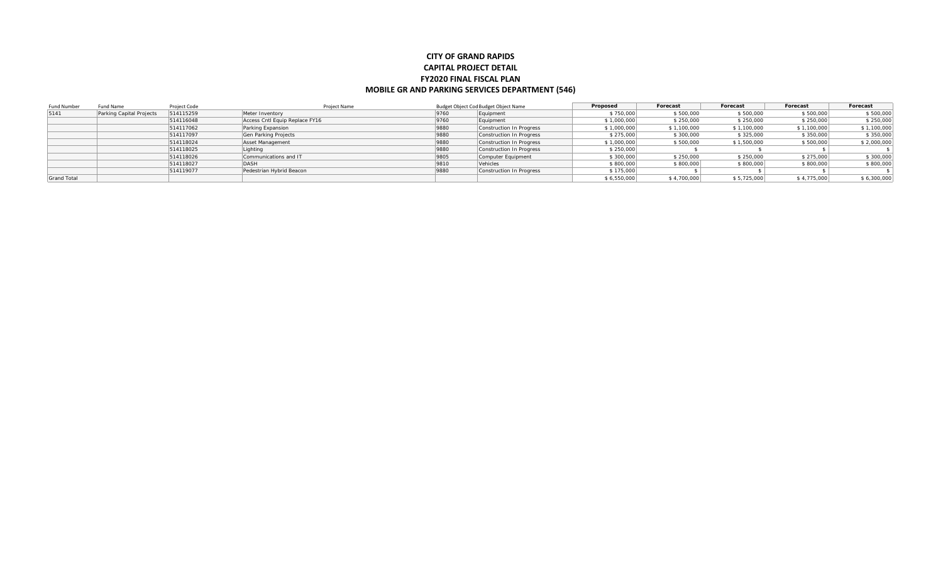## **CITY OF GRAND RAPIDS CAPITAL PROJECT DETAIL FY2020 FINAL FISCAL PLAN MOBILE GR AND PARKING SERVICES DEPARTMENT (546)**

| Fund Number        | Fund Name                | Project Code | Project Name                   |             | Budget Object Cod Budget Object Name | Proposed    | Forecast    | Forecast    | Forecast    | Forecast    |
|--------------------|--------------------------|--------------|--------------------------------|-------------|--------------------------------------|-------------|-------------|-------------|-------------|-------------|
| 5141               | Parking Capital Projects | 514115259    | Meter Inventory                | 9760        | Equipment                            | \$750,000   | \$500,000   | \$500,000   | \$500,000   | \$500,000   |
|                    |                          | 514116048    | Access Cntl Equip Replace FY16 | 9760        | Equipment                            | \$1,000,000 | \$250,000   | \$250,000   | \$250,000   | \$250,000   |
|                    |                          | 514117062    | Parking Expansion              | 9880        | Construction In Progress             | \$1,000,000 | \$1,100,000 | \$1,100,000 | \$1,100,000 | \$1,100,000 |
|                    |                          | 514117097    | Gen Parking Projects           | 9880        | Construction In Progress             | \$275,000   | \$300,000   | \$325,000   | \$350,000   | \$350,000   |
|                    |                          | 514118024    | Asset Management               | <b>9880</b> | Construction In Progress             | \$1,000,000 | \$500,000   | \$1,500,000 | \$500,000   | \$2,000,000 |
|                    |                          | 514118025    | Lighting                       | 9880        | Construction In Progress             | \$250,000   |             |             |             |             |
|                    |                          | 514118026    | Communications and IT          | 9805        | Computer Equipment                   | \$300,000   | \$250,000   | \$250,000   | \$275,000   | \$300,000   |
|                    |                          | 514118027    | <b>DASH</b>                    | 9810        | Vehicles                             | \$800,000   | \$800,000   | \$800,000   | \$800,000   | \$800,000   |
|                    |                          | 514119077    | Pedestrian Hybrid Beacon       | 9880        | Construction In Progress             | \$175,000   |             |             |             |             |
| <b>Grand Total</b> |                          |              |                                |             |                                      | \$6,550,000 | \$4,700,000 | \$5,725,000 | \$4,775,000 | \$6,300,000 |
|                    |                          |              |                                |             |                                      |             |             |             |             |             |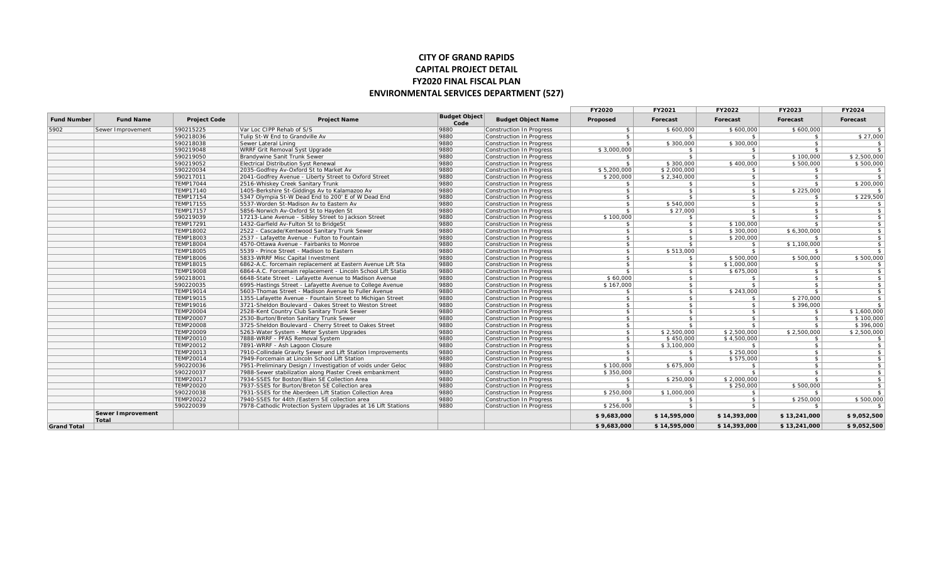## **CITY OF GRAND RAPIDS CAPITAL PROJECT DETAIL FY2020 FINAL FISCAL PLAN ENVIRONMENTAL SERVICES DEPARTMENT (527)**

|                    |                            |                     |                                                              |                              |                           | <b>FY2020</b> | FY2021        | FY2022        | FY2023        | FY2024                  |
|--------------------|----------------------------|---------------------|--------------------------------------------------------------|------------------------------|---------------------------|---------------|---------------|---------------|---------------|-------------------------|
| <b>Fund Number</b> | <b>Fund Name</b>           | <b>Project Code</b> | <b>Project Name</b>                                          | <b>Budget Object</b><br>Code | <b>Budget Object Name</b> | Proposed      | Forecast      | Forecast      | Forecast      | Forecast                |
| 5902               | Sewer Improvement          | 590215225           | Var Loc CIPP Rehab of S/S                                    | 9880                         | Construction In Progress  | $\mathcal{L}$ | \$600,000     | \$600,000     | \$600,000     | $\mathbf{s}$            |
|                    |                            | 590218036           | Tulip St-W End to Grandville Av                              | 9880                         | Construction In Progress  | $\mathsf{s}$  | $\mathsf{s}$  | \$            | $\mathbf{s}$  | \$27,000                |
|                    |                            | 590218038           | Sewer Lateral Lining                                         | 9880                         | Construction In Progress  | $\mathsf{s}$  | \$300,000     | \$300,000     | $\mathbf{s}$  | $\frac{1}{2}$           |
|                    |                            | 590219048           | WRRF Grit Removal Syst Upgrade                               | 9880                         | Construction In Progress  | \$3,000,000   | \$            | $\frac{1}{2}$ | $\mathbf{s}$  | s                       |
|                    |                            | 590219050           | Brandywine Sanit Trunk Sewer                                 | 9880                         | Construction In Progress  | s             | \$            | $\frac{1}{2}$ | \$100,000     | \$2.500.000             |
|                    |                            | 590219052           | Electrical Distribution Syst Renewal                         | 9880                         | Construction In Progress  | $$^{\circ}$   | \$300,000     | \$400,000     | \$500,000     | \$500,000               |
|                    |                            | 590220034           | 2035-Godfrey Av-Oxford St to Market Av                       | 9880                         | Construction In Progress  | \$5,200,000   | \$2,000,000   | $\frac{1}{2}$ | $\mathsf{s}$  | $\frac{1}{2}$           |
|                    |                            | 590217011           | 2041-Godfrey Avenue - Liberty Street to Oxford Street        | 9880                         | Construction In Progress  | \$200,000     | \$2,340,000   | $\frac{1}{2}$ | $\mathbf{s}$  | $\overline{\mathbf{s}}$ |
|                    |                            | <b>TEMP17044</b>    | 2516-Whiskey Creek Sanitary Trunk                            | 9880                         | Construction In Progress  | $\mathsf{s}$  | $\mathsf{s}$  | $\frac{1}{2}$ | $\mathbf{s}$  | \$200,000               |
|                    |                            | TEMP17140           | 1405-Berkshire St-Giddings Av to Kalamazoo Av                | 9880                         | Construction In Progress  | $\mathsf{s}$  | \$            | $\frac{1}{2}$ | \$225,000     | S                       |
|                    |                            | TEMP17154           | 5347 Olympia St-W Dead End to 200' E of W Dead End           | 9880                         | Construction In Progress  | s             | $\mathbf{s}$  | s             | $\mathbf{s}$  | \$229,500               |
|                    |                            | TEMP17155           | 5537-Worden St-Madison Av to Eastern Av                      | 9880                         | Construction In Progress  | \$            | \$540,000     | s             | $\mathbf{s}$  | S                       |
|                    |                            | <b>TEMP17157</b>    | 5856-Norwich Av-Oxford St to Hayden St                       | 9880                         | Construction In Progress  | $\mathsf{s}$  | \$27,000      | $\frac{1}{2}$ | $\mathbf{s}$  | s                       |
|                    |                            | 590219039           | 17213-Lane Avenue - Sibley Street to Jackson Street          | 9880                         | Construction In Progress  | \$100,000     | $$^{\circ}$   | $\frac{1}{2}$ | $\mathsf{s}$  | S                       |
|                    |                            | TEMP17291           | 1432-Garfield Av-Fulton St to BridgeSt                       | 9880                         | Construction In Progress  | $\mathsf{s}$  | $\frac{1}{2}$ | \$100,000     | $\mathcal{L}$ | $\frac{1}{2}$           |
|                    |                            | <b>TEMP18002</b>    | 2522 - Cascade/Kentwood Sanitary Trunk Sewer                 | 9880                         | Construction In Progress  | $\mathsf{s}$  | $\mathsf{s}$  | \$300,000     | \$6,300,000   | s                       |
|                    |                            | <b>TEMP18003</b>    | 2537 - Lafayette Avenue - Fulton to Fountain                 | 9880                         | Construction In Progress  | $\mathsf{s}$  | $\mathsf{s}$  | \$200,000     | - \$          | s                       |
|                    |                            | <b>TEMP18004</b>    | 4570-Ottawa Avenue - Fairbanks to Monroe                     | 9880                         | Construction In Progress  | s             | $\frac{1}{2}$ | $\mathsf{s}$  | \$1,100,000   | s                       |
|                    |                            | <b>TEMP18005</b>    | 5539 - Prince Street - Madison to Eastern                    | 9880                         | Construction In Progress  | $\frac{1}{2}$ | \$513,000     | $\frac{1}{2}$ | $$^{\circ}$   | S                       |
|                    |                            | <b>TEMP18006</b>    | 5833-WRRF Misc Capital Investment                            | 9880                         | Construction In Progress  | $\mathbb{S}$  | \$            | \$500,000     | \$500,000     | \$500,000               |
|                    |                            | TEMP18015           | 6862-A.C. forcemain replacement at Eastern Avenue Lift Sta   | 9880                         | Construction In Progress  | $\mathsf{s}$  | $\frac{1}{2}$ | \$1,000,000   | $\mathbf{s}$  | $\frac{1}{2}$           |
|                    |                            | <b>TEMP19008</b>    | 6864-A.C. Forcemain replacement - Lincoln School Lift Statio | 9880                         | Construction In Progress  | $\mathsf{s}$  | $\mathsf{s}$  | \$675,000     | $\mathbf{s}$  | s                       |
|                    |                            | 590218001           | 6648-State Street - Lafayette Avenue to Madison Avenue       | 9880                         | Construction In Progress  | \$60,000      | $\mathsf{s}$  | $\frac{1}{2}$ | $\mathsf{s}$  | s                       |
|                    |                            | 590220035           | 6995-Hastings Street - Lafayette Avenue to College Avenue    | 9880                         | Construction In Progress  | \$167,000     | $\mathsf{s}$  | $\frac{1}{2}$ | $\mathbf{s}$  | s                       |
|                    |                            | TEMP19014           | 5603-Thomas Street - Madison Avenue to Fuller Avenue         | 9880                         | Construction In Progress  | s             | $\frac{1}{2}$ | \$243,000     | $\mathbf{s}$  | s                       |
|                    |                            | TEMP19015           | 1355-Lafayette Avenue - Fountain Street to Michigan Street   | 9880                         | Construction In Progress  | s             | $\frac{1}{2}$ | $\frac{1}{2}$ | \$270,000     | $\frac{1}{2}$           |
|                    |                            | TEMP19016           | 3721-Sheldon Boulevard - Oakes Street to Weston Street       | 9880                         | Construction In Progress  | $\frac{1}{2}$ | $\frac{1}{2}$ | $\frac{1}{2}$ | \$396,000     | s                       |
|                    |                            | <b>TEMP20004</b>    | 2528-Kent Country Club Sanitary Trunk Sewer                  | 9880                         | Construction In Progress  | $\mathsf{s}$  | $\mathsf{s}$  | $\frac{1}{2}$ | \$            | \$1,600,000             |
|                    |                            | <b>TEMP20007</b>    | 2530-Burton/Breton Sanitary Trunk Sewer                      | 9880                         | Construction In Progress  | s             | $\mathsf{s}$  | $\frac{1}{2}$ | $\mathsf{s}$  | \$100,000               |
|                    |                            | <b>TEMP20008</b>    | 3725-Sheldon Boulevard - Cherry Street to Oakes Street       | 9880                         | Construction In Progress  | $\mathsf{s}$  | $\mathsf{s}$  | S             | $\mathbf{s}$  | \$396,000               |
|                    |                            | <b>TEMP20009</b>    | 5263-Water System - Meter System Upgrades                    | 9880                         | Construction In Progress  | s             | \$2,500,000   | \$2,500,000   | \$2,500,000   | \$2,500,000             |
|                    |                            | TEMP20010           | 7888-WRRF - PFAS Removal System                              | 9880                         | Construction In Progress  | s             | \$450,000     | \$4,500,000   | \$            | $\frac{1}{2}$           |
|                    |                            | <b>TEMP20012</b>    | 7891-WRRF - Ash Lagoon Closure                               | 9880                         | Construction In Progress  | $\frac{1}{2}$ | \$3,100,000   | $$^{\circ}$   | $\mathbf{s}$  | S                       |
|                    |                            | <b>TEMP20013</b>    | 7910-Collindale Gravity Sewer and Lift Station Improvements  | 9880                         | Construction In Progress  | $\mathsf{s}$  | $\sqrt{5}$    | \$250,000     | $\frac{1}{2}$ | $\frac{1}{2}$           |
|                    |                            | TEMP20014           | 7949-Forcemain at Lincoln School Lift Station                | 9880                         | Construction In Progress  | $$^{\circ}$   | $\sqrt{5}$    | \$575,000     | $\mathbf{s}$  | $\frac{1}{2}$           |
|                    |                            | 590220036           | 7951-Preliminary Design / Investigation of voids under Geloc | 9880                         | Construction In Progress  | \$100,000     | \$675,000     | S.            | $\mathbf{s}$  | S                       |
|                    |                            | 590220037           | 7988-Sewer stabilization along Plaster Creek embankment      | 9880                         | Construction In Progress  | \$350,000     | $$^{\circ}$   | $\frac{1}{2}$ | $\mathbf{s}$  | s                       |
|                    |                            | <b>TEMP20017</b>    | 7934-SSES for Boston/Blain SE Collection Area                | 9880                         | Construction In Progress  | $\mathsf{s}$  | \$250,000     | \$2,000,000   | $\mathbf{s}$  | s                       |
|                    |                            | <b>TEMP20020</b>    | 7937-SSES for Burton/Breton SE Collection area               | 9880                         | Construction In Progress  | \$            | $\mathsf{s}$  | \$250,000     | \$500,000     | s                       |
|                    |                            | 590220038           | 7931-SSES for the Aberdeen Lift Station Collection Area      | 9880                         | Construction In Progress  | \$250,000     | \$1,000,000   | $\frac{1}{2}$ | $\mathbf{s}$  | S                       |
|                    |                            | TEMP20022           | 7940-SSES for 44th /Eastern SE collection area               | 9880                         | Construction In Progress  | $\sim$        | \$            | $\frac{1}{2}$ | \$250,000     | \$500,000               |
|                    |                            | 590220039           | 7978-Cathodic Protection System Upgrades at 16 Lift Stations | 9880                         | Construction In Progress  | \$256,000     | $\mathbf{s}$  | S             | $\mathbf{s}$  | S                       |
|                    | Sewer Improvement<br>Total |                     |                                                              |                              |                           | \$9,683,000   | \$14,595,000  | \$14,393,000  | \$13,241,000  | \$9,052,500             |
| <b>Grand Total</b> |                            |                     |                                                              |                              |                           | \$9,683,000   | \$14,595,000  | \$14,393,000  | \$13,241,000  | \$9,052,500             |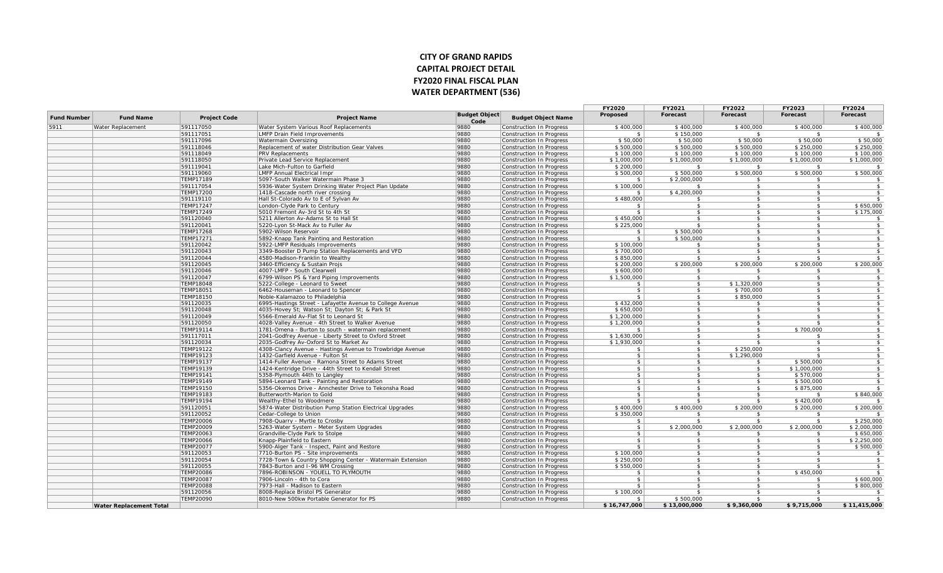## **CITY OF GRAND RAPIDS CAPITAL PROJECT DETAIL FY2020 FINAL FISCAL PLAN WATER DEPARTMENT (536)**

|                    |                                |                               |                                                                                         |                              |                                                             | <b>FY2020</b>            | <b>FY2021</b>       | <b>FY2022</b>              | <b>FY2023</b>       | <b>FY2024</b> |
|--------------------|--------------------------------|-------------------------------|-----------------------------------------------------------------------------------------|------------------------------|-------------------------------------------------------------|--------------------------|---------------------|----------------------------|---------------------|---------------|
| <b>Fund Number</b> | <b>Fund Name</b>               | <b>Project Code</b>           | <b>Project Name</b>                                                                     | <b>Budget Object</b><br>Code | <b>Budget Object Name</b>                                   | Proposed                 | Forecast            | Forecast                   | Forecast            | Forecast      |
| 5911               | Water Replacement              | 591117050                     | Water System Various Roof Replacements                                                  | 9880                         | Construction In Progress                                    | \$400,000                | \$400,000           | \$400,000                  | \$400,000           | \$400,000     |
|                    |                                | 591117051                     | <b>LMFP Drain Field Improvements</b>                                                    | 9880                         | <b>Construction In Progress</b>                             | -S                       | \$150,000           | - \$                       |                     |               |
|                    |                                | 591117096                     | Watermain Oversizing                                                                    | 9880                         | Construction In Progress                                    | \$50,000                 | \$50,000            | \$50,000                   | \$50,000            | \$50,000      |
|                    |                                | 591118046                     | Replacement of water Distribution Gear Valves                                           | 9880                         | Construction In Progress                                    | \$500,000                | \$500,000           | \$500,000                  | \$250,000           | \$250,000     |
|                    |                                | 591118049                     | PRV Replacements                                                                        | 9880                         | Construction In Progress                                    | \$100,000                | \$100,000           | \$100,000                  | \$100,000           | \$100,000     |
|                    |                                | 591118050                     | Private Lead Service Replacement                                                        | 9880                         | Construction In Progress                                    | \$1,000,000              | \$1,000,000         | \$1,000,000                | \$1,000,000         | \$1,000,000   |
|                    |                                | 591119041                     | Lake Mich-Fulton to Garfield                                                            | 9880                         | Construction In Progress                                    | \$200,000                | - \$                | - \$                       | - \$                | $\mathcal{L}$ |
|                    |                                | 591119060                     | <b>LMFP Annual Electrical Impr</b>                                                      | 9880                         | Construction In Progress                                    | \$500,000                | \$500,000           | \$500,000                  | \$500,000           | \$500,000     |
|                    |                                | <b>TEMP17189</b>              | 5097-South Walker Watermain Phase 3                                                     | 9880                         | Construction In Progress                                    | \$                       | \$2,000,000         | - \$                       | -S                  | \$            |
|                    |                                | 591117054                     | 5936-Water System Drinking Water Project Plan Update                                    | 9880                         | Construction In Progress                                    | \$100,000                | \$                  | $\mathbf{s}$               | \$                  | $\frac{1}{2}$ |
|                    |                                | <b>TEMP17200</b>              | 1418-Cascade north river crossing                                                       | 9880                         | Construction In Progress                                    | $$^{\circ}$              | \$4,200,000         | $\mathbf{s}$               | $\mathfrak{L}$      | $\frac{1}{2}$ |
|                    |                                | 591119110                     | Hall St-Colorado Av to E of Sylvan Av                                                   | 9880                         | Construction In Progress                                    | \$480,000                | $\hat{\mathbf{r}}$  | $\hat{\mathcal{L}}$        | \$                  | \$            |
|                    |                                | <b>TEMP17247</b>              | London-Clyde Park to Century                                                            | 9880                         | Construction In Progress                                    |                          | -S                  |                            | \$                  | \$650,000     |
|                    |                                | <b>TEMP17249</b>              | 5010 Fremont Av-3rd St to 4th St                                                        | 9880                         | Construction In Progress                                    | $\mathcal{L}$            | -\$                 | - \$                       | \$                  | \$175,000     |
|                    |                                | 591120040                     | 5211 Allerton Av-Adams St to Hall St                                                    | 9880                         | <b>Construction In Progress</b>                             | \$450,000                | $\mathbf{\hat{z}}$  | $\hat{\mathbf{r}}$         | $\mathfrak{L}$      | - \$          |
|                    |                                | 591120041                     | 5220-Lyon St-Mack Av to Fuller Av                                                       | 9880                         | Construction In Progress                                    | \$225,000                | -S                  | $\mathfrak{s}$             | $\sqrt{2}$          | \$            |
|                    |                                | <b>TEMP17268</b>              | 5902-Wilson Reservoir                                                                   | 9880                         | Construction In Progress                                    |                          | \$500,000           | $\hat{\mathbf{r}}$         | $\mathfrak{L}$      | \$            |
|                    |                                | <b>TEMP17271</b>              | 5892-Knapp Tank Painting and Restoration                                                | 9880                         | Construction In Progress                                    | $$^{\circ}$              | \$500,000           | $\mathbf{s}$               | \$                  | $\frac{1}{2}$ |
|                    |                                | 591120042                     | 5922-LMFP Residuals Improvements                                                        | 9880                         | Construction In Progress                                    | \$100,000                | -\$                 | $\hat{\mathbf{r}}$         | $\mathcal{L}$       | \$            |
|                    |                                | 591120043                     | 3349-Booster D Pump Station Replacements and VFD                                        | 9880                         | Construction In Progress                                    | \$700,000                | -S                  |                            | \$                  | \$            |
|                    |                                | 591120044                     | 4580-Madison-Franklin to Wealthy                                                        | 9880                         | Construction In Progress                                    | \$850,000                | -S                  | $\mathcal{L}$              | -\$                 | \$            |
|                    |                                | 591120045                     | 3460-Efficiency & Sustain Projs                                                         | 9880                         | <b>Construction In Progress</b>                             | \$200,000                | \$200,000           | \$200,000                  | \$200,000           | \$200,000     |
|                    |                                | 591120046                     | 4007-LMFP - South Clearwell                                                             | 9880                         | Construction In Progress                                    | \$600,000                | \$                  | -SS                        | \$                  | \$            |
|                    |                                | 591120047                     | 6799-Wilson PS & Yard Piping Improvements                                               | 9880<br>9880                 | Construction In Progress                                    | \$1,500,000              | $\mathfrak{S}$      |                            | \$<br>\$            | $\frac{1}{2}$ |
|                    |                                | <b>TEMP18048</b>              | 5222-College - Leonard to Sweet                                                         |                              | Construction In Progress                                    | $\frac{1}{2}$<br>S.      | \$<br>$\mathcal{L}$ | \$1,320,000                | $\mathcal{L}$       | \$            |
|                    |                                | TEMP18051                     | 6462-Houseman - Leonard to Spencer                                                      | 9880<br>9880                 | Construction In Progress                                    | S.                       | -S                  | \$700,000                  | \$                  | \$            |
|                    |                                | <b>TEMP18150</b><br>591120035 | Noble-Kalamazoo to Philadelphia                                                         | 9880                         | Construction In Progress                                    | \$432,000                | $\hat{\mathbf{r}}$  | \$850,000<br>$\mathcal{L}$ | $\mathcal{L}$       | \$<br>\$      |
|                    |                                | 591120048                     | 6995-Hastings Street - Lafayette Avenue to College Avenue                               | 9880                         | Construction In Progress                                    |                          | $\hat{\mathbf{r}}$  |                            | \$                  |               |
|                    |                                | 591120049                     | 4035-Hovey St; Watson St; Dayton St; & Park St<br>5566-Emerald Av-Flat St to Leonard St | 9880                         | <b>Construction In Progress</b><br>Construction In Progress | \$650,000<br>\$1,200,000 | $\mathfrak{S}$      | - \$                       | \$                  | \$<br>\$      |
|                    |                                | 591120050                     | 4028-Valley Avenue - 4th Street to Walker Avenue                                        | 9880                         |                                                             | \$1,200,000              | $\mathbf{\hat{z}}$  | $\hat{\mathbf{r}}$         | $\boldsymbol{\phi}$ | $\frac{1}{2}$ |
|                    |                                | <b>TEMP19114</b>              | 1781-Omena - Burton to south - watermain replacement                                    | 9880                         | Construction In Progress<br>Construction In Progress        | \$                       | $\mathbf{s}$        | $\mathbf{s}$               | \$700,000           | \$            |
|                    |                                | 591117011                     | 2041-Godfrey Avenue - Liberty Street to Oxford Street                                   | 9880                         | Construction In Progress                                    | \$1,630,000              | \$                  | $\hat{\mathbf{r}}$         | \$                  | \$            |
|                    |                                | 591120034                     | 2035-Godfrey Av-Oxford St to Market Av                                                  | 9880                         | Construction In Progress                                    | \$1,930,000              | -S                  |                            |                     | \$            |
|                    |                                | TEMP19122                     | 4308-Clancy Avenue - Hastings Avenue to Trowbridge Avenue                               | 9880                         | Construction In Progress                                    | S.                       | $\hat{\mathbf{r}}$  | \$250,000                  | -\$                 | \$            |
|                    |                                | TEMP19123                     | 1432-Garfield Avenue - Fulton St                                                        | 9880                         | <b>Construction In Progress</b>                             | s                        | $\hat{\mathbf{r}}$  | \$1,290,000                |                     | $\mathbb{S}$  |
|                    |                                | <b>TEMP19137</b>              | 1414-Fuller Avenue - Ramona Street to Adams Street                                      | 9880                         | Construction In Progress                                    | $\frac{1}{2}$            | - \$                | - \$                       | \$500,000           | \$            |
|                    |                                | <b>TEMP19139</b>              | 1424-Kentridge Drive - 44th Street to Kendall Street                                    | 9880                         | Construction In Progress                                    | $\frac{1}{2}$            | $\mathfrak{S}$      | $\mathbf{s}$               | \$1,000,000         | $\frac{1}{2}$ |
|                    |                                | TEMP19141                     | 5358-Plymouth 44th to Langley                                                           | 9880                         | Construction In Progress                                    | s                        | \$                  | $\mathfrak{s}$             | \$570,000           | \$            |
|                    |                                | <b>TEMP19149</b>              | 5894-Leonard Tank - Painting and Restoration                                            | 9880                         | Construction In Progress                                    | $\mathsf{s}$             | $\mathcal{L}$       | $\hat{\mathbf{r}}$         | \$500,000           | \$            |
|                    |                                | <b>TEMP19150</b>              | 5356-Okemos Drive - Annchester Drive to Tekonsha Road                                   | 9880                         | Construction In Progress                                    | $\mathsf{s}$             | -S                  | - \$                       | \$875,000           | \$            |
|                    |                                | <b>TEMP19183</b>              | Butterworth-Marion to Gold                                                              | 9880                         | Construction In Progress                                    | $\mathsf{s}$             | $\mathbf{\hat{z}}$  | -\$                        | \$                  | \$840,000     |
|                    |                                | <b>TEMP19194</b>              | Wealthy-Ethel to Woodmere                                                               | 9880                         | <b>Construction In Progress</b>                             | $\mathbf{s}$             |                     |                            | \$420,000           |               |
|                    |                                | 591120051                     | 5874-Water Distribution Pump Station Electrical Upgrades                                | 9880                         | Construction In Progress                                    | \$400,000                | \$400,000           | \$200,000                  | \$200,000           | \$200,000     |
|                    |                                | 591120052                     | Cedar-College to Union                                                                  | 9880                         | Construction In Progress                                    | \$350,000                | -S                  |                            |                     | $\mathbb{S}$  |
|                    |                                | <b>TEMP20006</b>              | 7908-Quarry - Myrtle to Crosby                                                          | 9880                         | Construction In Progress                                    | \$                       | $\mathbf{\hat{s}}$  |                            | \$                  | \$250,000     |
|                    |                                | TEMP20009                     | 5263-Water System - Meter System Upgrades                                               | 9880                         | Construction In Progress                                    | $\frac{1}{2}$            | \$2,000,000         | \$2,000,000                | \$2,000,000         | \$2,000,000   |
|                    |                                | <b>TEMP20063</b>              | Grandville-Clyde Park to Stolpe                                                         | 9880                         | Construction In Progress                                    | s                        | \$.                 | - \$                       | \$                  | \$650,000     |
|                    |                                | <b>TEMP20066</b>              | Knapp-Plainfield to Eastern                                                             | 9880                         | <b>Construction In Progress</b>                             | $\mathsf{s}$             | $\hat{\mathbf{r}}$  | $\hat{\mathbf{r}}$         | S.                  | \$2,250,000   |
|                    |                                | <b>TEMP20077</b>              | 5900-Alger Tank - Inspect, Paint and Restore                                            | 9880                         | Construction In Progress                                    | $\mathbf{s}$             | -S                  | $\hat{\mathbf{r}}$         | $\mathbb{S}$        | \$500,000     |
|                    |                                | 591120053                     | 7710-Burton PS - Site improvements                                                      | 9880                         | Construction In Progress                                    | \$100,000                | $\mathfrak{s}$      | -\$                        | -\$                 | \$            |
|                    |                                | 591120054                     | 7728-Town & Country Shopping Center - Watermain Extension                               | 9880                         | Construction In Progress                                    | \$250,000                | $\mathbf{\hat{s}}$  | $\hat{\mathbf{r}}$         | ፍ                   | $\sqrt{2}$    |
|                    |                                | 591120055                     | 7843-Burton and I-96 WM Crossing                                                        | 9880                         | Construction In Progress                                    | \$550,000                | \$                  |                            |                     | \$            |
|                    |                                | <b>TEMP20086</b>              | 7896-ROBINSON - YOUELL TO PLYMOUTH                                                      | 9880                         | Construction In Progress                                    | $$^{\circ}$              | $\mathbf{s}$        | $\hat{\mathbf{r}}$         | \$450,000           | $\mathbb{S}$  |
|                    |                                | <b>TEMP20087</b>              | 7906-Lincoln - 4th to Cora                                                              | 9880                         | Construction In Progress                                    | $\mathsf{s}$             | $\hat{\mathbf{r}}$  |                            |                     | \$600,000     |
|                    |                                | <b>TEMP20088</b>              | 7973-Hall - Madison to Eastern                                                          | 9880                         | Construction In Progress                                    | -S.                      | -\$                 | $\mathcal{L}$              | $\mathcal{L}$       | \$800,000     |
|                    |                                | 591120056                     | 8008-Replace Bristol PS Generator                                                       | 9880                         | Construction In Progress                                    | \$100,000                |                     | $\mathbf{\hat{z}}$         | $\mathfrak{L}$      | \$            |
|                    |                                | <b>TEMP20090</b>              | 8010-New 500kw Portable Generator for PS                                                | 9880                         | Construction In Progress                                    | \$                       | \$500,000           | - \$                       |                     | \$            |
|                    | <b>Water Replacement Total</b> |                               |                                                                                         |                              |                                                             | \$16,747,000             | \$13,000,000        | \$9,360,000                | \$9,715,000         | \$11,415,000  |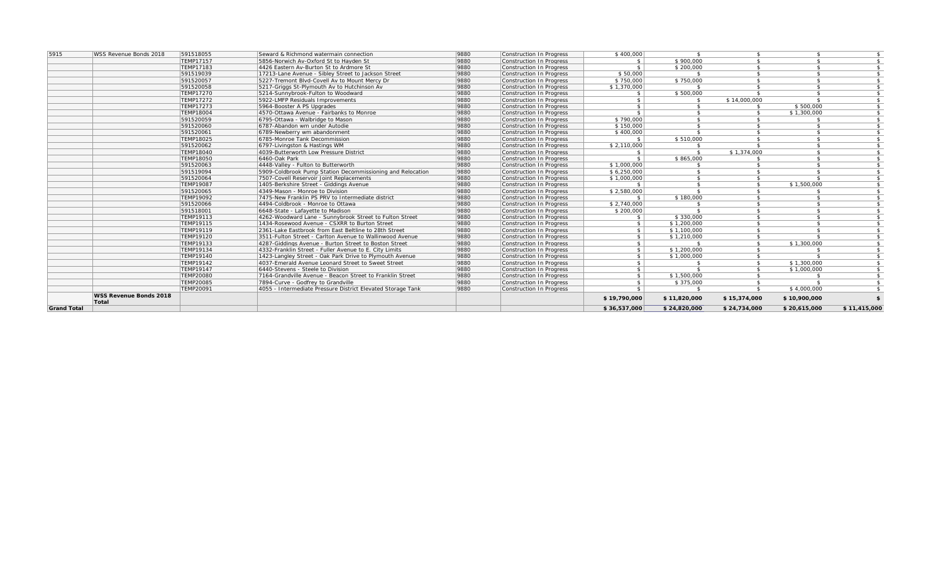| <b>Grand Total</b> |                        |                               |                                                                                      |              |                                                      | \$36,537,000                 | \$24,820,000       | \$24,734,000        | \$20,615,000 | \$11,415,000         |
|--------------------|------------------------|-------------------------------|--------------------------------------------------------------------------------------|--------------|------------------------------------------------------|------------------------------|--------------------|---------------------|--------------|----------------------|
|                    | Total                  |                               |                                                                                      |              |                                                      | \$19,790,000                 | \$11,820,000       | \$15,374,000        | \$10,900,000 |                      |
|                    | WSS Revenue Bonds 2018 |                               |                                                                                      |              |                                                      |                              |                    |                     |              |                      |
|                    |                        | <b>TEMP20091</b>              | 4055 - Intermediate Pressure District Elevated Storage Tank                          | 9880         | Construction In Progress                             | $\ddot{\bm{\zeta}}$          | $\hat{\mathbf{r}}$ | $\mathcal{S}$       | \$4,000,000  |                      |
|                    |                        | <b>TEMP20085</b>              | 7894-Curve - Godfrey to Grandville                                                   | 9880         | Construction In Progress                             | S.                           | \$375,000          | $\ddot{\mathbf{r}}$ |              | -S                   |
|                    |                        | <b>TEMP20080</b>              | 7164-Grandville Avenue - Beacon Street to Franklin Street                            | 9880         | Construction In Progress                             | $\mathbf{s}$                 | \$1,500,000        |                     |              | $\mathbf{s}$         |
|                    |                        | TEMP19147                     | 6440-Stevens - Steele to Division                                                    | 9880         | Construction In Progress                             | \$                           |                    |                     | \$1,000,000  | $\mathbf{s}$         |
|                    |                        | TEMP19142                     | 4037-Emerald Avenue Leonard Street to Sweet Street                                   | 9880         | Construction In Progress                             |                              |                    |                     | \$1,300,000  |                      |
|                    |                        | <b>TEMP19140</b>              | 1423-Langley Street - Oak Park Drive to Plymouth Avenue                              | 9880         | Construction In Progress                             | \$                           | \$1,000,000        |                     |              | $\mathcal{L}$        |
|                    |                        | TEMP19134                     | 4332-Franklin Street - Fuller Avenue to E. City Limits                               | 9880         | Construction In Progress                             | \$                           | \$1,200,000        |                     |              |                      |
|                    |                        | TEMP19133                     | 4287-Giddings Avenue - Burton Street to Boston Street                                | 9880         | Construction In Progress                             | $\hat{\mathcal{L}}$          |                    |                     | \$1,300,000  |                      |
|                    |                        | <b>TEMP19120</b>              | 3511-Fulton Street - Carlton Avenue to Wallinwood Avenue                             | 9880         | Construction In Progress                             | s l                          | \$1,210,000        |                     |              |                      |
|                    |                        | TEMP19119                     | 2361-Lake Eastbrook from East Beltline to 28th Street                                | 9880         | Construction In Progress                             | $\mathbf{s}$                 | \$1,100,000        |                     |              | $\mathcal{L}$        |
|                    |                        | TEMP19115                     | 1434-Rosewood Avenue - CSXRR to Burton Street                                        | 9880         | Construction In Progress                             | s                            | \$1,200,000        |                     |              | S.                   |
|                    |                        | TFMP19113                     | 4262-Woodward Lane - Sunnybrook Street to Fulton Street                              | 9880         | Construction In Progress                             | $\mathbf{s}$                 | \$330,000          |                     |              | $\hat{\mathbf{r}}$   |
|                    |                        | 591518001                     | 4494-Coldbrook - Monroe to Ottawa<br>6648-State - Lafavette to Madison               | 9880         | Construction In Progress<br>Construction In Progress | \$2,740,000<br>\$200,000     |                    |                     |              | S.                   |
|                    |                        | 591520066                     |                                                                                      | 9880         | Construction In Progress                             |                              |                    |                     |              | $\ddot{\mathcal{L}}$ |
|                    |                        | 591520065<br><b>TEMP19092</b> | 4349-Mason - Monroe to Division<br>7475-New Franklin PS PRV to Intermediate district | 9880<br>9880 | Construction In Progress                             | \$2,580,000<br>$\mathcal{L}$ | \$180,000          |                     |              | S.<br>$\mathcal{L}$  |
|                    |                        | <b>TEMP19087</b>              | 1405-Berkshire Street - Giddings Avenue                                              | 9880         | Construction In Progress                             |                              |                    |                     | \$1,500,000  | -S                   |
|                    |                        |                               | 7507-Covell Reservoir Joint Replacements                                             | 9880         | Construction In Progress                             | \$1,000,000                  | $\mathcal{L}$      |                     |              | $\mathbf{s}$         |
|                    |                        | 591519094<br>591520064        | 5909-Coldbrook Pump Station Decommissioning and Relocation                           | 9880         | Construction In Progress                             | \$6,250,000                  |                    |                     |              | -S                   |
|                    |                        | 591520063                     | 4448-Valley - Fulton to Butterworth                                                  | 9880         | Construction In Progress                             | \$1,000,000                  |                    |                     |              | $\hat{\mathbf{r}}$   |
|                    |                        | <b>TEMP18050</b>              | 6460-Oak Park                                                                        | 9880         | Construction In Progress                             | $\hat{\mathbf{r}}$           | \$865,000          |                     |              | $\hat{\mathbf{r}}$   |
|                    |                        | <b>TEMP18040</b>              | 4039-Butterworth Low Pressure District                                               | 9880         | Construction In Progress                             |                              |                    | \$1,374,000         |              |                      |
|                    |                        | 591520062                     | 6797-Livingston & Hastings WM                                                        | 9880         | Construction In Progress                             | \$2,110,000                  |                    |                     |              |                      |
|                    |                        | <b>TEMP18025</b>              | 6785-Monroe Tank Decommission                                                        | 9880         | Construction In Progress                             | S.                           | \$510,000          |                     |              |                      |
|                    |                        | 591520061                     | 6789-Newberry wm abandonment                                                         | 9880         | Construction In Progress                             | \$400,000                    |                    |                     |              |                      |
|                    |                        | 591520060                     | 6787-Abandon wm under Autodie                                                        | 9880         | Construction In Progress                             | \$150,000                    |                    |                     |              | $\mathbf{s}$         |
|                    |                        | 591520059                     | 6795-Ottawa - Walbridge to Mason                                                     | 9880         | Construction In Progress                             | \$790,000                    | $\mathcal{L}$      |                     |              | -S                   |
|                    |                        | <b>TEMP18004</b>              | 4570-Ottawa Avenue - Fairbanks to Monroe                                             | 9880         | Construction In Progress                             |                              |                    |                     | \$1,300,000  | $\mathbf{s}$         |
|                    |                        | <b>TEMP17273</b>              | 5964-Booster A PS Upgrades                                                           | 9880         | Construction In Progress                             |                              |                    |                     | \$500,000    | -S                   |
|                    |                        | <b>TEMP17272</b>              | 5922-LMFP Residuals Improvements                                                     | 9880         | Construction In Progress                             |                              |                    | \$14,000,000        |              |                      |
|                    |                        | <b>TEMP17270</b>              | 5214-Sunnybrook-Fulton to Woodward                                                   | 9880         | Construction In Progress                             |                              | \$500,000          |                     |              |                      |
|                    |                        | 591520058                     | 5217-Griggs St-Plymouth Av to Hutchinson Av                                          | 9880         | Construction In Progress                             | \$1,370,000                  |                    |                     |              |                      |
|                    |                        | 591520057                     | 5227-Tremont Blvd-Covell Av to Mount Mercy Dr                                        | 9880         | Construction In Progress                             | \$750,000                    | \$750,000          |                     |              | $\mathbf{s}$         |
|                    |                        | 591519039                     | 17213-Lane Avenue - Sibley Street to Jackson Street                                  | 9880         | Construction In Progress                             | \$50,000                     |                    |                     |              | $$^{\circ}$          |
|                    |                        | TEMP17183                     | 4426 Eastern Av-Burton St to Ardmore St                                              | 9880         | Construction In Progress                             |                              | \$200,000          |                     |              | \$                   |
|                    |                        | TEMP17157                     | 5856-Norwich Av-Oxford St to Hayden St                                               | 9880         | Construction In Progress                             | $\mathbf{s}$                 | \$900,000          |                     |              | $\mathbf{s}$         |
| 5915               | WSS Revenue Bonds 2018 | 591518055                     | Seward & Richmond watermain connection                                               | 9880         | Construction In Progress                             | \$400,000                    | $\hat{\mathbf{r}}$ |                     |              | - \$                 |